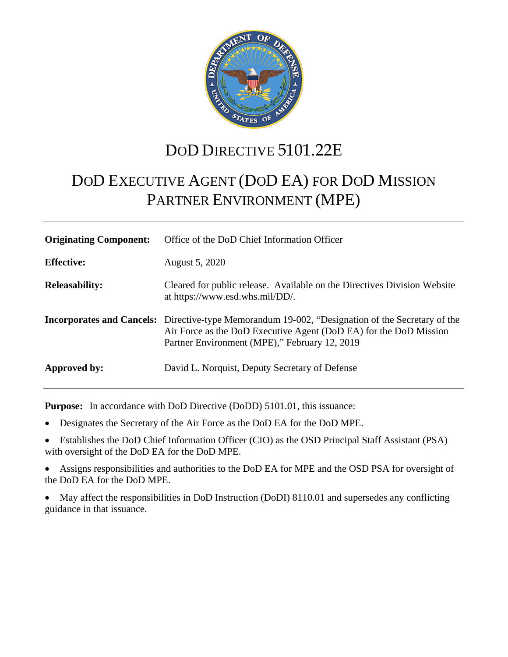

# DOD DIRECTIVE 5101.22E

# DOD EXECUTIVE AGENT (DOD EA) FOR DOD MISSION PARTNER ENVIRONMENT (MPE)

| <b>Originating Component:</b> | Office of the DoD Chief Information Officer                                                                                                                                                                                   |
|-------------------------------|-------------------------------------------------------------------------------------------------------------------------------------------------------------------------------------------------------------------------------|
| <b>Effective:</b>             | August 5, 2020                                                                                                                                                                                                                |
| <b>Releasability:</b>         | Cleared for public release. Available on the Directives Division Website<br>at https://www.esd.whs.mil/DD/.                                                                                                                   |
|                               | <b>Incorporates and Cancels:</b> Directive-type Memorandum 19-002, "Designation of the Secretary of the<br>Air Force as the DoD Executive Agent (DoD EA) for the DoD Mission<br>Partner Environment (MPE)," February 12, 2019 |
| Approved by:                  | David L. Norquist, Deputy Secretary of Defense                                                                                                                                                                                |

**Purpose:** In accordance with DoD Directive (DoDD) 5101.01, this issuance:

- Designates the Secretary of the Air Force as the DoD EA for the DoD MPE.
- Establishes the DoD Chief Information Officer (CIO) as the OSD Principal Staff Assistant (PSA) with oversight of the DoD EA for the DoD MPE.
- Assigns responsibilities and authorities to the DoD EA for MPE and the OSD PSA for oversight of the DoD EA for the DoD MPE.
- May affect the responsibilities in DoD Instruction (DoDI) 8110.01 and supersedes any conflicting guidance in that issuance.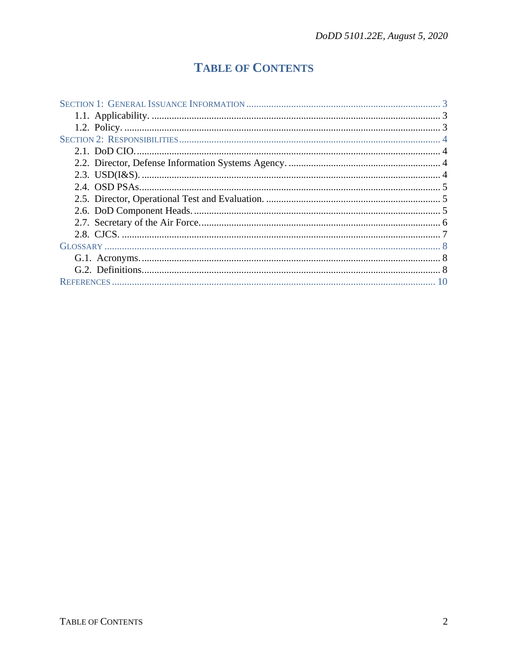## **TABLE OF CONTENTS**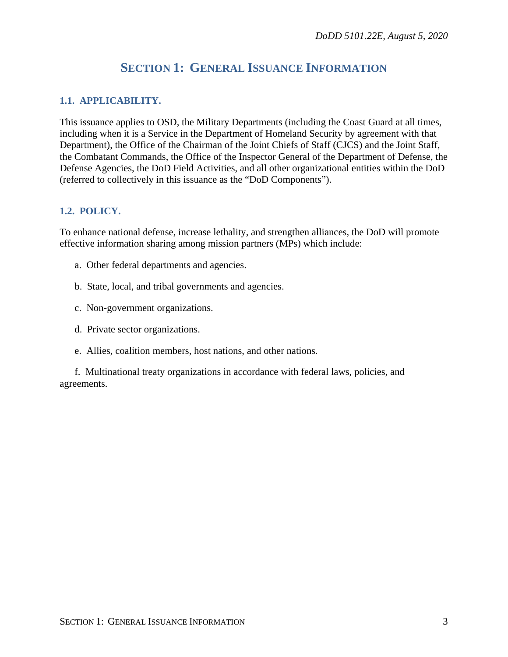## **SECTION 1: GENERAL ISSUANCE INFORMATION**

#### <span id="page-2-1"></span><span id="page-2-0"></span>**1.1. APPLICABILITY.**

This issuance applies to OSD, the Military Departments (including the Coast Guard at all times, including when it is a Service in the Department of Homeland Security by agreement with that Department), the Office of the Chairman of the Joint Chiefs of Staff (CJCS) and the Joint Staff, the Combatant Commands, the Office of the Inspector General of the Department of Defense, the Defense Agencies, the DoD Field Activities, and all other organizational entities within the DoD (referred to collectively in this issuance as the "DoD Components").

#### <span id="page-2-2"></span>**1.2. POLICY.**

To enhance national defense, increase lethality, and strengthen alliances, the DoD will promote effective information sharing among mission partners (MPs) which include:

- a. Other federal departments and agencies.
- b. State, local, and tribal governments and agencies.
- c. Non-government organizations.
- d. Private sector organizations.
- e. Allies, coalition members, host nations, and other nations.

f. Multinational treaty organizations in accordance with federal laws, policies, and agreements.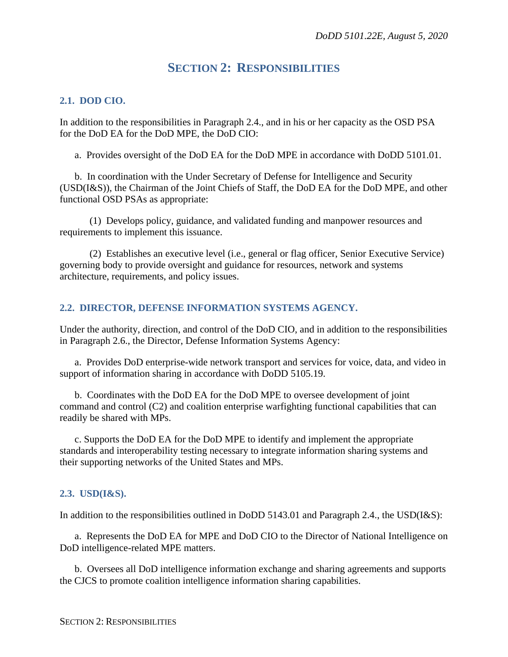## **SECTION 2: RESPONSIBILITIES**

#### <span id="page-3-1"></span><span id="page-3-0"></span>**2.1. DOD CIO.**

In addition to the responsibilities in Paragraph 2.4., and in his or her capacity as the OSD PSA for the DoD EA for the DoD MPE, the DoD CIO:

a. Provides oversight of the DoD EA for the DoD MPE in accordance with DoDD 5101.01.

b. In coordination with the Under Secretary of Defense for Intelligence and Security (USD(I&S)), the Chairman of the Joint Chiefs of Staff, the DoD EA for the DoD MPE, and other functional OSD PSAs as appropriate:

(1) Develops policy, guidance, and validated funding and manpower resources and requirements to implement this issuance.

(2) Establishes an executive level (i.e., general or flag officer, Senior Executive Service) governing body to provide oversight and guidance for resources, network and systems architecture, requirements, and policy issues.

#### <span id="page-3-2"></span>**2.2. DIRECTOR, DEFENSE INFORMATION SYSTEMS AGENCY.**

Under the authority, direction, and control of the DoD CIO, and in addition to the responsibilities in Paragraph 2.6., the Director, Defense Information Systems Agency:

a. Provides DoD enterprise-wide network transport and services for voice, data, and video in support of information sharing in accordance with DoDD 5105.19.

b. Coordinates with the DoD EA for the DoD MPE to oversee development of joint command and control (C2) and coalition enterprise warfighting functional capabilities that can readily be shared with MPs.

c. Supports the DoD EA for the DoD MPE to identify and implement the appropriate standards and interoperability testing necessary to integrate information sharing systems and their supporting networks of the United States and MPs.

#### <span id="page-3-3"></span>**2.3. USD(I&S).**

In addition to the responsibilities outlined in DoDD 5143.01 and Paragraph 2.4., the USD(I&S):

a. Represents the DoD EA for MPE and DoD CIO to the Director of National Intelligence on DoD intelligence-related MPE matters.

b. Oversees all DoD intelligence information exchange and sharing agreements and supports the CJCS to promote coalition intelligence information sharing capabilities.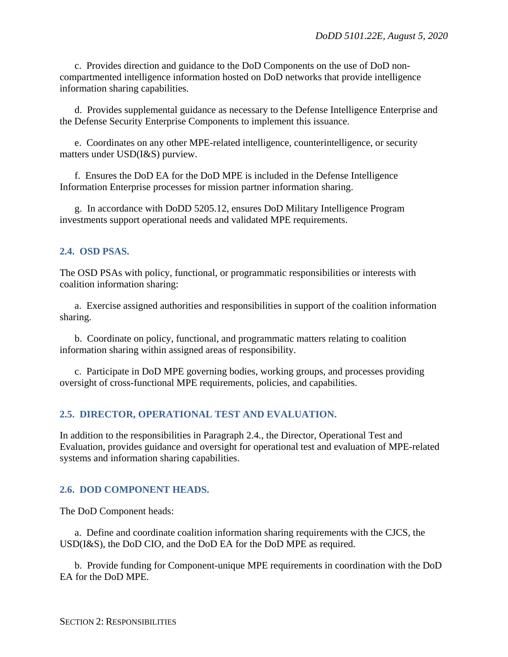c. Provides direction and guidance to the DoD Components on the use of DoD noncompartmented intelligence information hosted on DoD networks that provide intelligence information sharing capabilities.

d. Provides supplemental guidance as necessary to the Defense Intelligence Enterprise and the Defense Security Enterprise Components to implement this issuance.

e. Coordinates on any other MPE-related intelligence, counterintelligence, or security matters under USD(I&S) purview.

f. Ensures the DoD EA for the DoD MPE is included in the Defense Intelligence Information Enterprise processes for mission partner information sharing.

g. In accordance with DoDD 5205.12, ensures DoD Military Intelligence Program investments support operational needs and validated MPE requirements.

#### <span id="page-4-0"></span>**2.4. OSD PSAS.**

The OSD PSAs with policy, functional, or programmatic responsibilities or interests with coalition information sharing:

a. Exercise assigned authorities and responsibilities in support of the coalition information sharing.

b. Coordinate on policy, functional, and programmatic matters relating to coalition information sharing within assigned areas of responsibility.

c. Participate in DoD MPE governing bodies, working groups, and processes providing oversight of cross-functional MPE requirements, policies, and capabilities.

#### <span id="page-4-1"></span>**2.5. DIRECTOR, OPERATIONAL TEST AND EVALUATION.**

In addition to the responsibilities in Paragraph 2.4., the Director, Operational Test and Evaluation, provides guidance and oversight for operational test and evaluation of MPE-related systems and information sharing capabilities.

#### <span id="page-4-2"></span>**2.6. DOD COMPONENT HEADS.**

The DoD Component heads:

a. Define and coordinate coalition information sharing requirements with the CJCS, the USD(I&S), the DoD CIO, and the DoD EA for the DoD MPE as required.

b. Provide funding for Component-unique MPE requirements in coordination with the DoD EA for the DoD MPE.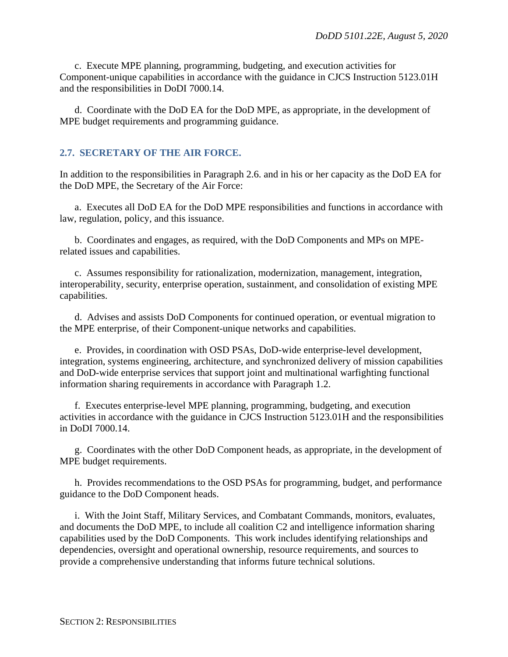c. Execute MPE planning, programming, budgeting, and execution activities for Component-unique capabilities in accordance with the guidance in CJCS Instruction 5123.01H and the responsibilities in DoDI 7000.14.

d. Coordinate with the DoD EA for the DoD MPE, as appropriate, in the development of MPE budget requirements and programming guidance.

#### <span id="page-5-0"></span>**2.7. SECRETARY OF THE AIR FORCE.**

In addition to the responsibilities in Paragraph 2.6. and in his or her capacity as the DoD EA for the DoD MPE, the Secretary of the Air Force:

a. Executes all DoD EA for the DoD MPE responsibilities and functions in accordance with law, regulation, policy, and this issuance.

b. Coordinates and engages, as required, with the DoD Components and MPs on MPErelated issues and capabilities.

c. Assumes responsibility for rationalization, modernization, management, integration, interoperability, security, enterprise operation, sustainment, and consolidation of existing MPE capabilities.

d. Advises and assists DoD Components for continued operation, or eventual migration to the MPE enterprise, of their Component-unique networks and capabilities.

e. Provides, in coordination with OSD PSAs, DoD-wide enterprise-level development, integration, systems engineering, architecture, and synchronized delivery of mission capabilities and DoD-wide enterprise services that support joint and multinational warfighting functional information sharing requirements in accordance with Paragraph 1.2.

f. Executes enterprise-level MPE planning, programming, budgeting, and execution activities in accordance with the guidance in CJCS Instruction 5123.01H and the responsibilities in DoDI 7000.14.

g. Coordinates with the other DoD Component heads, as appropriate, in the development of MPE budget requirements.

h. Provides recommendations to the OSD PSAs for programming, budget, and performance guidance to the DoD Component heads.

i. With the Joint Staff, Military Services, and Combatant Commands, monitors, evaluates, and documents the DoD MPE, to include all coalition C2 and intelligence information sharing capabilities used by the DoD Components. This work includes identifying relationships and dependencies, oversight and operational ownership, resource requirements, and sources to provide a comprehensive understanding that informs future technical solutions.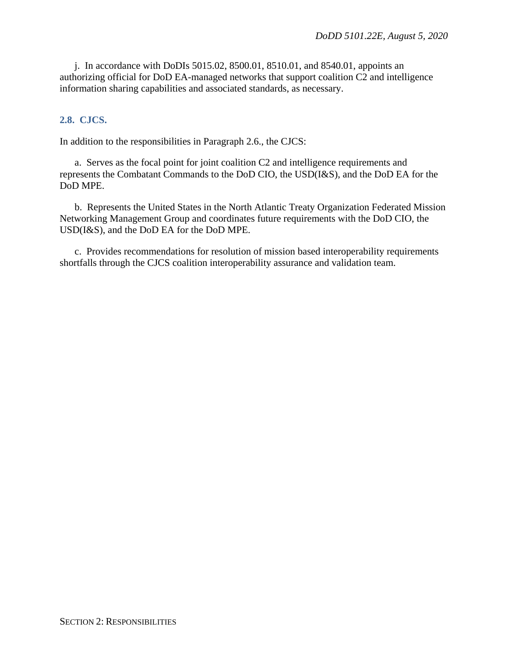j. In accordance with DoDIs 5015.02, 8500.01, 8510.01, and 8540.01, appoints an authorizing official for DoD EA-managed networks that support coalition C2 and intelligence information sharing capabilities and associated standards, as necessary.

#### <span id="page-6-0"></span>**2.8. CJCS.**

In addition to the responsibilities in Paragraph 2.6., the CJCS:

a. Serves as the focal point for joint coalition C2 and intelligence requirements and represents the Combatant Commands to the DoD CIO, the USD(I&S), and the DoD EA for the DoD MPE.

b. Represents the United States in the North Atlantic Treaty Organization Federated Mission Networking Management Group and coordinates future requirements with the DoD CIO, the USD(I&S), and the DoD EA for the DoD MPE.

c. Provides recommendations for resolution of mission based interoperability requirements shortfalls through the CJCS coalition interoperability assurance and validation team.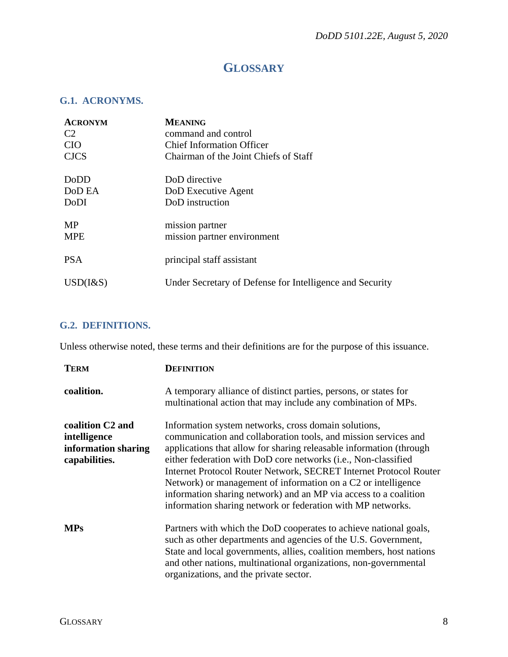## **GLOSSARY**

#### <span id="page-7-1"></span><span id="page-7-0"></span>**G.1. ACRONYMS.**

| <b>ACRONYM</b>  | <b>MEANING</b>                                           |
|-----------------|----------------------------------------------------------|
| C <sub>2</sub>  | command and control                                      |
| <b>CIO</b>      | <b>Chief Information Officer</b>                         |
| <b>CJCS</b>     | Chairman of the Joint Chiefs of Staff                    |
| DoDD            | DoD directive                                            |
| DoD EA          | DoD Executive Agent                                      |
| DoDI            | DoD instruction                                          |
| <b>MP</b>       | mission partner                                          |
| <b>MPE</b>      | mission partner environment                              |
| <b>PSA</b>      | principal staff assistant                                |
| $USD$ ( $1&$ S) | Under Secretary of Defense for Intelligence and Security |

#### <span id="page-7-2"></span>**G.2. DEFINITIONS.**

Unless otherwise noted, these terms and their definitions are for the purpose of this issuance.

| <b>TERM</b>                                                                          | <b>DEFINITION</b>                                                                                                                                                                                                                                                                                                                                                                                                                                                                                                                         |
|--------------------------------------------------------------------------------------|-------------------------------------------------------------------------------------------------------------------------------------------------------------------------------------------------------------------------------------------------------------------------------------------------------------------------------------------------------------------------------------------------------------------------------------------------------------------------------------------------------------------------------------------|
| coalition.                                                                           | A temporary alliance of distinct parties, persons, or states for<br>multinational action that may include any combination of MPs.                                                                                                                                                                                                                                                                                                                                                                                                         |
| coalition C <sub>2</sub> and<br>intelligence<br>information sharing<br>capabilities. | Information system networks, cross domain solutions,<br>communication and collaboration tools, and mission services and<br>applications that allow for sharing releasable information (through<br>either federation with DoD core networks (i.e., Non-classified<br>Internet Protocol Router Network, SECRET Internet Protocol Router<br>Network) or management of information on a C2 or intelligence<br>information sharing network) and an MP via access to a coalition<br>information sharing network or federation with MP networks. |
| <b>MPs</b>                                                                           | Partners with which the DoD cooperates to achieve national goals,<br>such as other departments and agencies of the U.S. Government,<br>State and local governments, allies, coalition members, host nations<br>and other nations, multinational organizations, non-governmental<br>organizations, and the private sector.                                                                                                                                                                                                                 |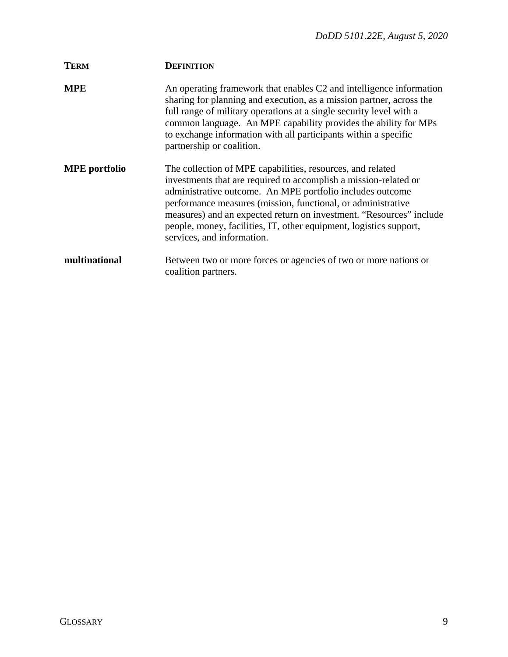| <b>TERM</b>          | <b>DEFINITION</b>                                                                                                                                                                                                                                                                                                                                                                                                                      |
|----------------------|----------------------------------------------------------------------------------------------------------------------------------------------------------------------------------------------------------------------------------------------------------------------------------------------------------------------------------------------------------------------------------------------------------------------------------------|
| <b>MPE</b>           | An operating framework that enables C2 and intelligence information<br>sharing for planning and execution, as a mission partner, across the<br>full range of military operations at a single security level with a<br>common language. An MPE capability provides the ability for MPs<br>to exchange information with all participants within a specific<br>partnership or coalition.                                                  |
| <b>MPE</b> portfolio | The collection of MPE capabilities, resources, and related<br>investments that are required to accomplish a mission-related or<br>administrative outcome. An MPE portfolio includes outcome<br>performance measures (mission, functional, or administrative<br>measures) and an expected return on investment. "Resources" include<br>people, money, facilities, IT, other equipment, logistics support,<br>services, and information. |
| multinational        | Between two or more forces or agencies of two or more nations or<br>coalition partners.                                                                                                                                                                                                                                                                                                                                                |